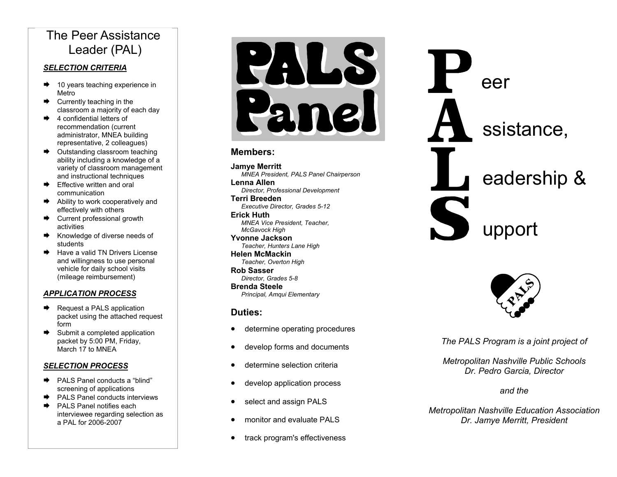## The Peer Assistance Leader (PAL)

#### *SELECTION CRITERIA*

- $\rightarrow$  10 years teaching experience in Metro
- $\rightarrow$  Currently teaching in the classroom a majority of each day
- $\rightarrow$  4 confidential letters of recommendation (current administrator, MNEA building representative, 2 colleagues)
- $\rightarrow$  Outstanding classroom teaching ability including a knowledge of a variety of classroom management and instructional techniques
- $\rightarrow$  Effective written and oral communication
- $\rightarrow$  Ability to work cooperatively and effectively with others
- $\rightarrow$  Current professional growth activities
- $\rightarrow$  Knowledge of diverse needs of students
- $\rightarrow$  Have a valid TN Drivers License and willingness to use personal vehicle for daily school visits (mileage reimbursement)

### *APPLICATION PROCESS*

- $\rightarrow$  Request a PALS application packet using the attached request form
- $\rightarrow$  Submit a completed application packet by 5:00 PM, Friday, March 17 to MNEA

#### *SELECTION PROCESS*

- ¨ PALS Panel conducts a "blind" screening of applications
- $\rightarrow$  PALS Panel conducts interviews
- $\rightarrow$  PALS Panel notifies each interviewee regarding selection as a PAL for 2006-2007

PAUS Par nel

### **Members:**

**Jamye Merritt**   *MNEA President, PALS Panel Chairperson* 

**Lenna Allen**  *Director, Professional Development* 

**Terri Breeden** *Executive Director, Grades 5-12*  **Erick Huth**  *MNEA Vice President, Teacher,* 

 *McGavock High*  **Yvonne Jackson** 

*Teacher, Hunters Lane High*  **Helen McMackin** 

*Teacher, Overton High*  **Rob Sasser** 

 *Director, Grades 5-8*  **Brenda Steele** *Principal, Amqui Elementary* 

### **Duties:**

- determine operating procedures
- develop forms and documents
- determine selection criteria
- develop application process
- select and assign PALS
- monitor and evaluate PALS
- track program's effectiveness





*The PALS Program is a joint project of* 

*Metropolitan Nashville Public Schools Dr. Pedro Garcia, Director* 

### *and the*

*Metropolitan Nashville Education Association Dr. Jamye Merritt, President*